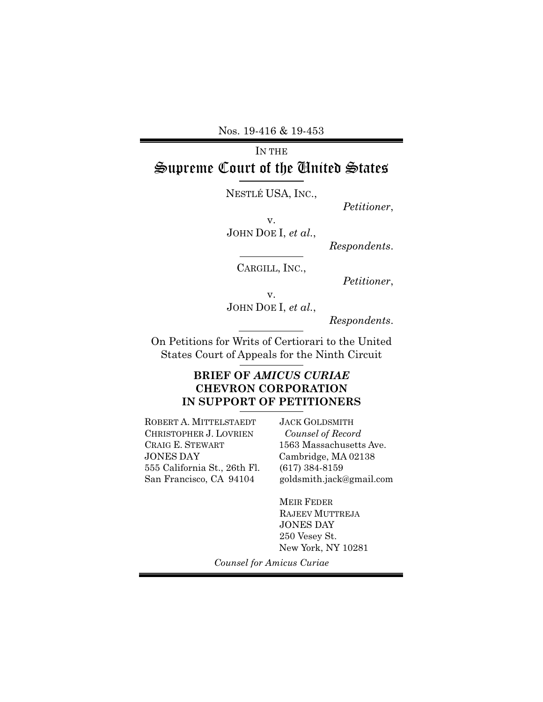Nos. 19-416 & 19-453

# IN THE Supreme Court of the United States

NESTLÉ USA, INC.,

*Petitioner*,

v. JOHN DOE I, *et al.*,

*Respondents*.

CARGILL, INC.,

*Petitioner*,

v. JOHN DOE I, *et al.*,

*Respondents*.

On Petitions for Writs of Certiorari to the United States Court of Appeals for the Ninth Circuit

## **BRIEF OF** *AMICUS CURIAE* **CHEVRON CORPORATION IN SUPPORT OF PETITIONERS**

ROBERT A. MITTELSTAEDT CHRISTOPHER J. LOVRIEN CRAIG E. STEWART JONES DAY 555 California St., 26th Fl. San Francisco, CA 94104

JACK GOLDSMITH  *Counsel of Record*  1563 Massachusetts Ave. Cambridge, MA 02138 (617) 384-8159 goldsmith.jack@gmail.com

MEIR FEDER RAJEEV MUTTREJA JONES DAY 250 Vesey St. New York, NY 10281

*Counsel for Amicus Curiae*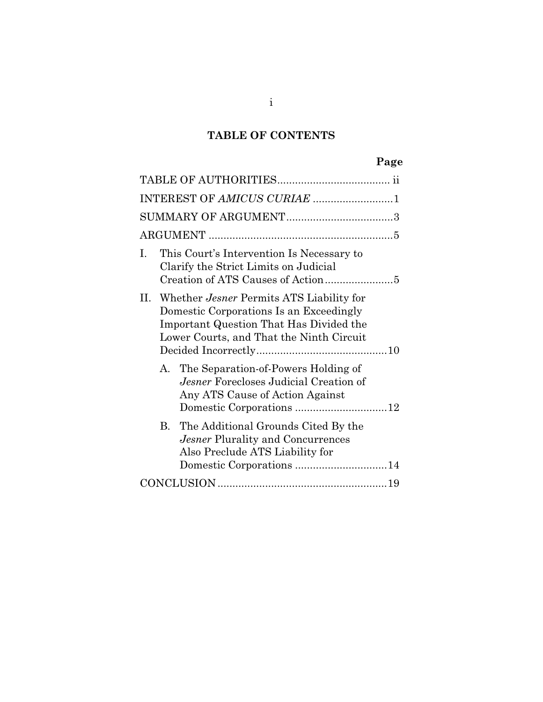# **TABLE OF CONTENTS**

# **Page**

| INTEREST OF AMICUS CURIAE 1                                                                                                                                                    |
|--------------------------------------------------------------------------------------------------------------------------------------------------------------------------------|
|                                                                                                                                                                                |
|                                                                                                                                                                                |
| This Court's Intervention Is Necessary to<br>Ι.<br>Clarify the Strict Limits on Judicial                                                                                       |
| II. Whether Jesner Permits ATS Liability for<br>Domestic Corporations Is an Exceedingly<br>Important Question That Has Divided the<br>Lower Courts, and That the Ninth Circuit |
| The Separation-of-Powers Holding of<br>A.<br>Jesner Forecloses Judicial Creation of<br>Any ATS Cause of Action Against                                                         |
| B. The Additional Grounds Cited By the<br>Jesner Plurality and Concurrences<br>Also Preclude ATS Liability for                                                                 |
|                                                                                                                                                                                |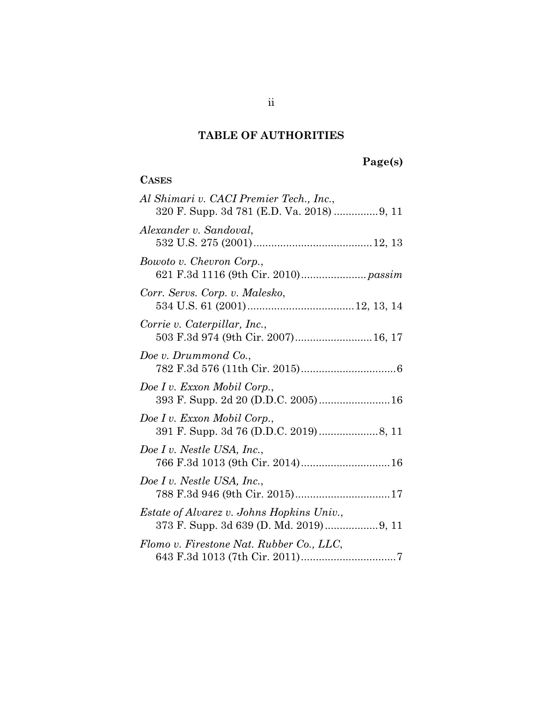# **TABLE OF AUTHORITIES**

# **Page(s)**

### **CASES**

| Al Shimari v. CACI Premier Tech., Inc.,                             |
|---------------------------------------------------------------------|
| Alexander v. Sandoval,                                              |
| Bowoto v. Chevron Corp.,                                            |
| Corr. Servs. Corp. v. Malesko,                                      |
| Corrie v. Caterpillar, Inc.,<br>503 F.3d 974 (9th Cir. 2007) 16, 17 |
| Doe v. Drummond Co.,                                                |
| Doe I v. Exxon Mobil Corp.,<br>393 F. Supp. 2d 20 (D.D.C. 2005) 16  |
| Doe I v. Exxon Mobil Corp.,                                         |
| Doe I v. Nestle USA, Inc.,<br>766 F.3d 1013 (9th Cir. 2014) 16      |
| Doe I v. Nestle USA, Inc.,<br>788 F.3d 946 (9th Cir. 2015)17        |
| <i>Estate of Alvarez v. Johns Hopkins Univ.,</i>                    |
| Flomo v. Firestone Nat. Rubber Co., LLC,                            |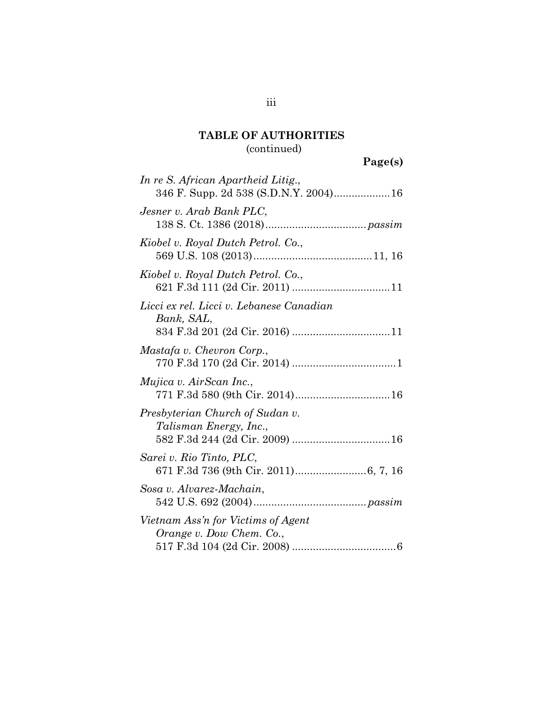# **TABLE OF AUTHORITIES**  (continued)

| In re S. African Apartheid Litig.,<br>346 F. Supp. 2d 538 (S.D.N.Y. 2004) 16 |
|------------------------------------------------------------------------------|
| Jesner v. Arab Bank PLC,                                                     |
| Kiobel v. Royal Dutch Petrol. Co.,                                           |
| Kiobel v. Royal Dutch Petrol. Co.,                                           |
| Licci ex rel. Licci v. Lebanese Canadian<br>Bank, SAL,                       |
| Mastafa v. Chevron Corp.,                                                    |
| Mujica v. AirScan Inc.,                                                      |
| Presbyterian Church of Sudan v.<br>Talisman Energy, Inc.,                    |
| Sarei v. Rio Tinto, PLC,                                                     |
| Sosa v. Alvarez-Machain,                                                     |
| Vietnam Ass'n for Victims of Agent<br>Orange v. Dow Chem. Co.,               |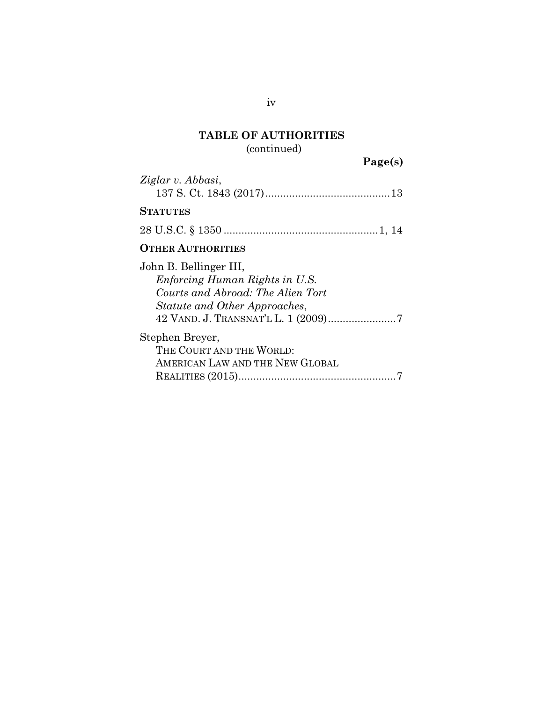# **TABLE OF AUTHORITIES**  (continued)

 **Page(s)** 

| Ziglar v. Abbasi,                                                                                                              |
|--------------------------------------------------------------------------------------------------------------------------------|
| <b>STATUTES</b>                                                                                                                |
|                                                                                                                                |
| <b>OTHER AUTHORITIES</b>                                                                                                       |
| John B. Bellinger III,<br>Enforcing Human Rights in U.S.<br>Courts and Abroad: The Alien Tort<br>Statute and Other Approaches, |
| Stephen Breyer,<br>THE COURT AND THE WORLD:<br>AMERICAN LAW AND THE NEW GLOBAL                                                 |

iv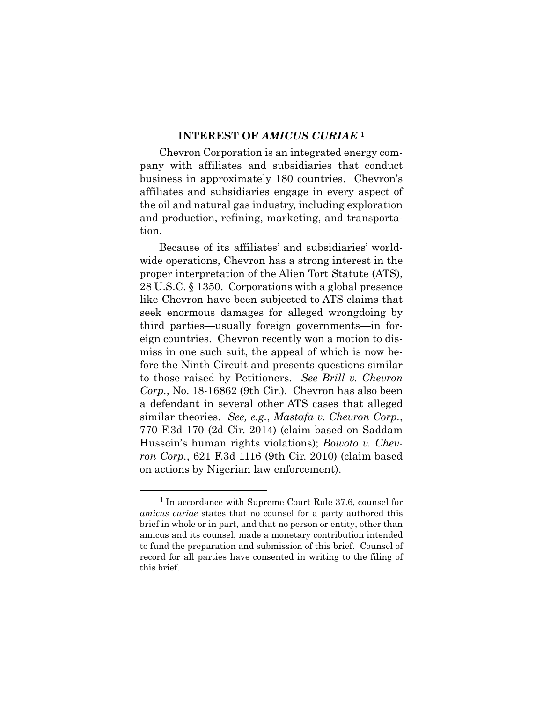#### **INTEREST OF** *AMICUS CURIAE* **<sup>1</sup>**

Chevron Corporation is an integrated energy company with affiliates and subsidiaries that conduct business in approximately 180 countries. Chevron's affiliates and subsidiaries engage in every aspect of the oil and natural gas industry, including exploration and production, refining, marketing, and transportation.

Because of its affiliates' and subsidiaries' worldwide operations, Chevron has a strong interest in the proper interpretation of the Alien Tort Statute (ATS), 28 U.S.C. § 1350. Corporations with a global presence like Chevron have been subjected to ATS claims that seek enormous damages for alleged wrongdoing by third parties—usually foreign governments—in foreign countries. Chevron recently won a motion to dismiss in one such suit, the appeal of which is now before the Ninth Circuit and presents questions similar to those raised by Petitioners. *See Brill v. Chevron Corp.*, No. 18-16862 (9th Cir.). Chevron has also been a defendant in several other ATS cases that alleged similar theories. *See, e.g.*, *Mastafa v. Chevron Corp.*, 770 F.3d 170 (2d Cir. 2014) (claim based on Saddam Hussein's human rights violations); *Bowoto v. Chevron Corp.*, 621 F.3d 1116 (9th Cir. 2010) (claim based on actions by Nigerian law enforcement).

-

<sup>1</sup> In accordance with Supreme Court Rule 37.6, counsel for *amicus curiae* states that no counsel for a party authored this brief in whole or in part, and that no person or entity, other than amicus and its counsel, made a monetary contribution intended to fund the preparation and submission of this brief. Counsel of record for all parties have consented in writing to the filing of this brief.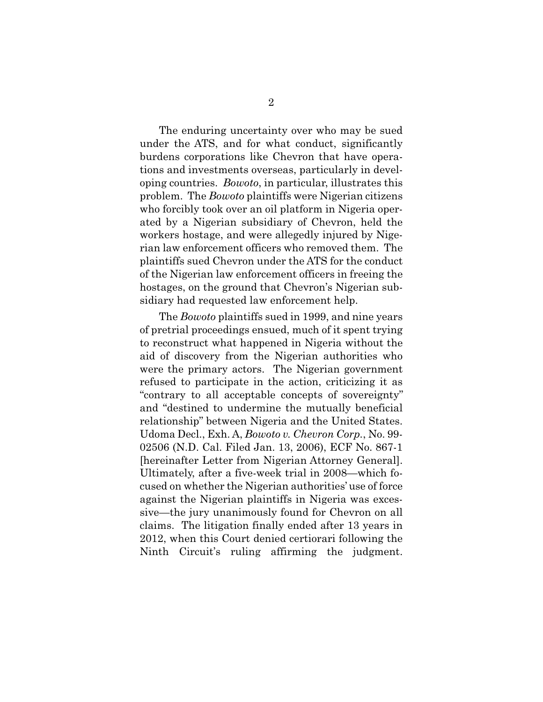The enduring uncertainty over who may be sued under the ATS, and for what conduct, significantly burdens corporations like Chevron that have operations and investments overseas, particularly in developing countries. *Bowoto*, in particular, illustrates this problem. The *Bowoto* plaintiffs were Nigerian citizens who forcibly took over an oil platform in Nigeria operated by a Nigerian subsidiary of Chevron, held the workers hostage, and were allegedly injured by Nigerian law enforcement officers who removed them. The plaintiffs sued Chevron under the ATS for the conduct of the Nigerian law enforcement officers in freeing the hostages, on the ground that Chevron's Nigerian subsidiary had requested law enforcement help.

The *Bowoto* plaintiffs sued in 1999, and nine years of pretrial proceedings ensued, much of it spent trying to reconstruct what happened in Nigeria without the aid of discovery from the Nigerian authorities who were the primary actors. The Nigerian government refused to participate in the action, criticizing it as "contrary to all acceptable concepts of sovereignty" and "destined to undermine the mutually beneficial relationship" between Nigeria and the United States. Udoma Decl., Exh. A, *Bowoto v. Chevron Corp.*, No. 99- 02506 (N.D. Cal. Filed Jan. 13, 2006), ECF No. 867-1 [hereinafter Letter from Nigerian Attorney General]. Ultimately, after a five-week trial in 2008—which focused on whether the Nigerian authorities' use of force against the Nigerian plaintiffs in Nigeria was excessive—the jury unanimously found for Chevron on all claims. The litigation finally ended after 13 years in 2012, when this Court denied certiorari following the Ninth Circuit's ruling affirming the judgment.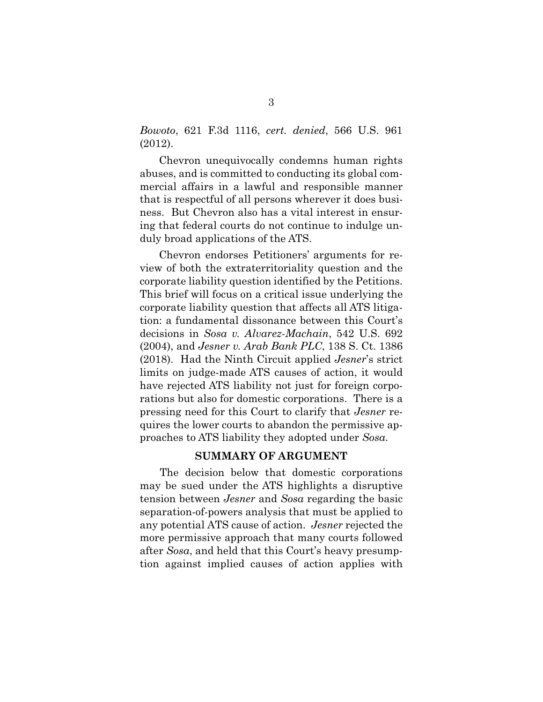*Bowoto*, 621 F.3d 1116, *cert. denied*, 566 U.S. 961 (2012).

Chevron unequivocally condemns human rights abuses, and is committed to conducting its global commercial affairs in a lawful and responsible manner that is respectful of all persons wherever it does business. But Chevron also has a vital interest in ensuring that federal courts do not continue to indulge unduly broad applications of the ATS.

Chevron endorses Petitioners' arguments for review of both the extraterritoriality question and the corporate liability question identified by the Petitions. This brief will focus on a critical issue underlying the corporate liability question that affects all ATS litigation: a fundamental dissonance between this Court's decisions in *Sosa v. Alvarez-Machain*, 542 U.S. 692 (2004), and *Jesner v. Arab Bank PLC*, 138 S. Ct. 1386 (2018). Had the Ninth Circuit applied *Jesner*'s strict limits on judge-made ATS causes of action, it would have rejected ATS liability not just for foreign corporations but also for domestic corporations. There is a pressing need for this Court to clarify that *Jesner* requires the lower courts to abandon the permissive approaches to ATS liability they adopted under *Sosa*.

#### **SUMMARY OF ARGUMENT**

The decision below that domestic corporations may be sued under the ATS highlights a disruptive tension between *Jesner* and *Sosa* regarding the basic separation-of-powers analysis that must be applied to any potential ATS cause of action. *Jesner* rejected the more permissive approach that many courts followed after *Sosa*, and held that this Court's heavy presumption against implied causes of action applies with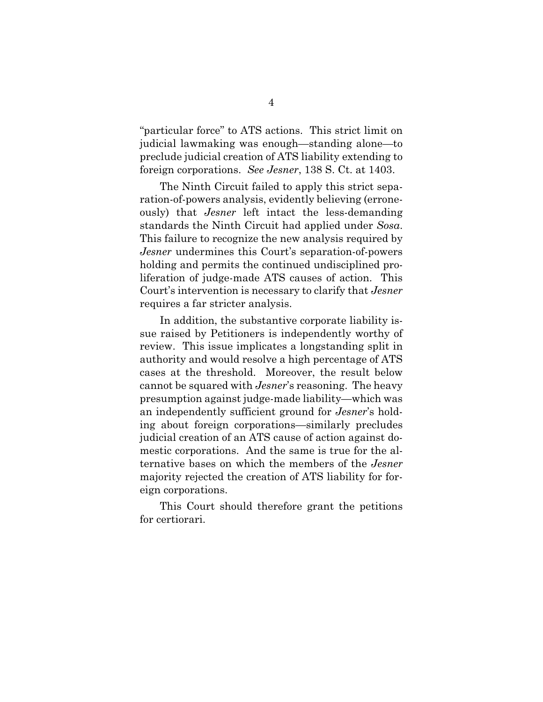"particular force" to ATS actions. This strict limit on judicial lawmaking was enough—standing alone—to preclude judicial creation of ATS liability extending to foreign corporations. *See Jesner*, 138 S. Ct. at 1403.

The Ninth Circuit failed to apply this strict separation-of-powers analysis, evidently believing (erroneously) that *Jesner* left intact the less-demanding standards the Ninth Circuit had applied under *Sosa*. This failure to recognize the new analysis required by *Jesner* undermines this Court's separation-of-powers holding and permits the continued undisciplined proliferation of judge-made ATS causes of action. This Court's intervention is necessary to clarify that *Jesner* requires a far stricter analysis.

In addition, the substantive corporate liability issue raised by Petitioners is independently worthy of review. This issue implicates a longstanding split in authority and would resolve a high percentage of ATS cases at the threshold. Moreover, the result below cannot be squared with *Jesner*'s reasoning. The heavy presumption against judge-made liability—which was an independently sufficient ground for *Jesner*'s holding about foreign corporations—similarly precludes judicial creation of an ATS cause of action against domestic corporations. And the same is true for the alternative bases on which the members of the *Jesner* majority rejected the creation of ATS liability for foreign corporations.

This Court should therefore grant the petitions for certiorari.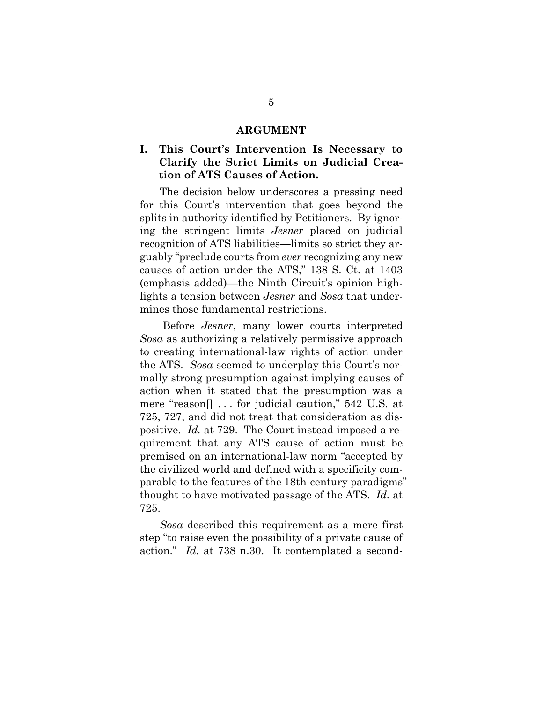#### **ARGUMENT**

### **I. This Court's Intervention Is Necessary to Clarify the Strict Limits on Judicial Creation of ATS Causes of Action.**

The decision below underscores a pressing need for this Court's intervention that goes beyond the splits in authority identified by Petitioners. By ignoring the stringent limits *Jesner* placed on judicial recognition of ATS liabilities—limits so strict they arguably "preclude courts from *ever* recognizing any new causes of action under the ATS," 138 S. Ct. at 1403 (emphasis added)—the Ninth Circuit's opinion highlights a tension between *Jesner* and *Sosa* that undermines those fundamental restrictions.

 Before *Jesner*, many lower courts interpreted *Sosa* as authorizing a relatively permissive approach to creating international-law rights of action under the ATS. *Sosa* seemed to underplay this Court's normally strong presumption against implying causes of action when it stated that the presumption was a mere "reason[] . . . for judicial caution," 542 U.S. at 725, 727, and did not treat that consideration as dispositive. *Id.* at 729. The Court instead imposed a requirement that any ATS cause of action must be premised on an international-law norm "accepted by the civilized world and defined with a specificity comparable to the features of the 18th-century paradigms" thought to have motivated passage of the ATS. *Id.* at 725.

*Sosa* described this requirement as a mere first step "to raise even the possibility of a private cause of action." *Id.* at 738 n.30. It contemplated a second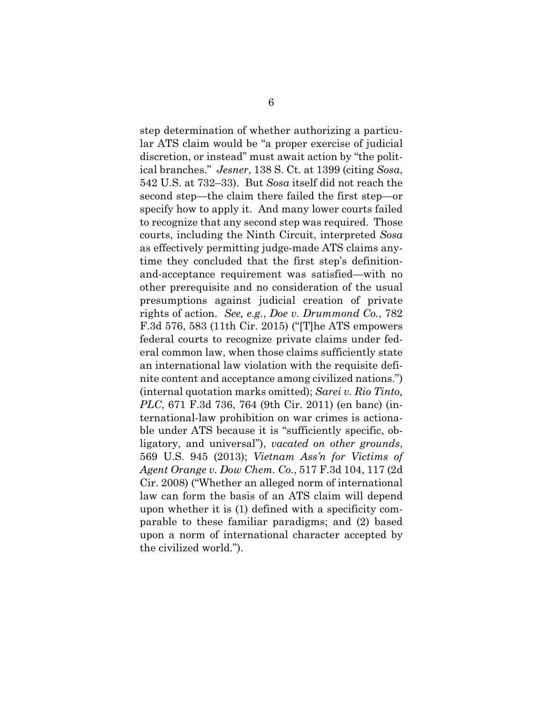step determination of whether authorizing a particular ATS claim would be "a proper exercise of judicial discretion, or instead" must await action by "the political branches." *Jesner*, 138 S. Ct. at 1399 (citing *Sosa*, 542 U.S. at 732–33). But *Sosa* itself did not reach the second step—the claim there failed the first step—or specify how to apply it. And many lower courts failed to recognize that any second step was required. Those courts, including the Ninth Circuit, interpreted *Sosa* as effectively permitting judge-made ATS claims anytime they concluded that the first step's definitionand-acceptance requirement was satisfied—with no other prerequisite and no consideration of the usual presumptions against judicial creation of private rights of action. *See, e.g.*, *Doe v. Drummond Co.*, 782 F.3d 576, 583 (11th Cir. 2015) ("[T]he ATS empowers federal courts to recognize private claims under federal common law, when those claims sufficiently state an international law violation with the requisite definite content and acceptance among civilized nations.") (internal quotation marks omitted); *Sarei v. Rio Tinto, PLC*, 671 F.3d 736, 764 (9th Cir. 2011) (en banc) (international-law prohibition on war crimes is actionable under ATS because it is "sufficiently specific, obligatory, and universal"), *vacated on other grounds*, 569 U.S. 945 (2013); *Vietnam Ass'n for Victims of Agent Orange v. Dow Chem. Co.*, 517 F.3d 104, 117 (2d Cir. 2008) ("Whether an alleged norm of international law can form the basis of an ATS claim will depend upon whether it is (1) defined with a specificity comparable to these familiar paradigms; and (2) based upon a norm of international character accepted by the civilized world.").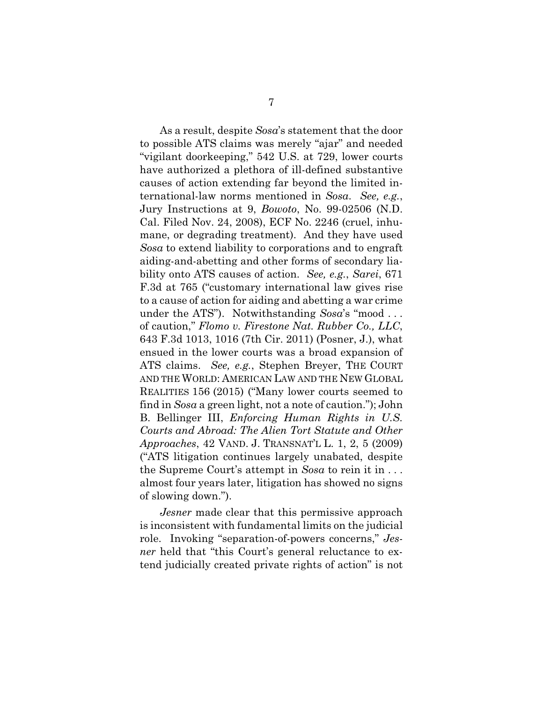As a result, despite *Sosa*'s statement that the door to possible ATS claims was merely "ajar" and needed "vigilant doorkeeping," 542 U.S. at 729, lower courts have authorized a plethora of ill-defined substantive causes of action extending far beyond the limited international-law norms mentioned in *Sosa*. *See, e.g.*, Jury Instructions at 9, *Bowoto*, No. 99-02506 (N.D. Cal. Filed Nov. 24, 2008), ECF No. 2246 (cruel, inhumane, or degrading treatment). And they have used *Sosa* to extend liability to corporations and to engraft aiding-and-abetting and other forms of secondary liability onto ATS causes of action. *See, e.g.*, *Sarei*, 671 F.3d at 765 ("customary international law gives rise to a cause of action for aiding and abetting a war crime under the ATS"). Notwithstanding *Sosa*'s "mood . . . of caution," *Flomo v. Firestone Nat. Rubber Co., LLC*, 643 F.3d 1013, 1016 (7th Cir. 2011) (Posner, J.), what ensued in the lower courts was a broad expansion of ATS claims. *See, e.g.*, Stephen Breyer, THE COURT AND THE WORLD: AMERICAN LAW AND THE NEW GLOBAL REALITIES 156 (2015) ("Many lower courts seemed to find in *Sosa* a green light, not a note of caution."); John B. Bellinger III, *Enforcing Human Rights in U.S. Courts and Abroad: The Alien Tort Statute and Other Approaches*, 42 VAND. J. TRANSNAT'L L. 1, 2, 5 (2009) ("ATS litigation continues largely unabated, despite the Supreme Court's attempt in *Sosa* to rein it in . . . almost four years later, litigation has showed no signs of slowing down.").

*Jesner* made clear that this permissive approach is inconsistent with fundamental limits on the judicial role. Invoking "separation-of-powers concerns," *Jesner* held that "this Court's general reluctance to extend judicially created private rights of action" is not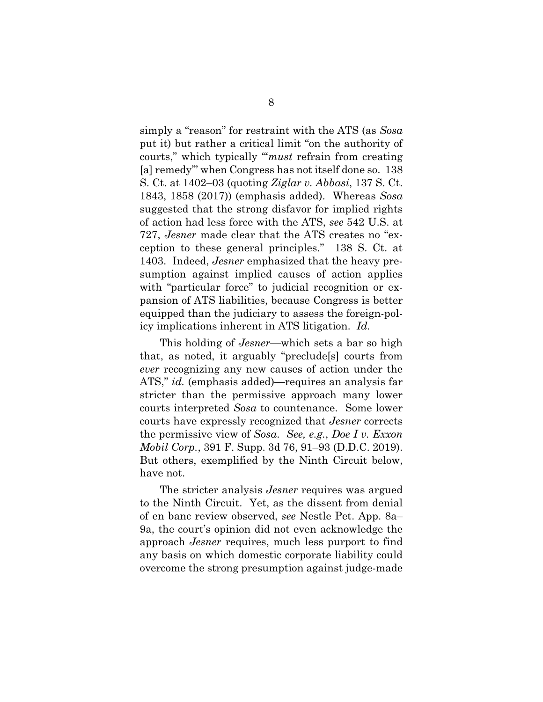simply a "reason" for restraint with the ATS (as *Sosa* put it) but rather a critical limit "on the authority of courts," which typically "'*must* refrain from creating [a] remedy'" when Congress has not itself done so. 138 S. Ct. at 1402–03 (quoting *Ziglar v. Abbasi*, 137 S. Ct. 1843, 1858 (2017)) (emphasis added). Whereas *Sosa* suggested that the strong disfavor for implied rights of action had less force with the ATS, *see* 542 U.S. at 727, *Jesner* made clear that the ATS creates no "exception to these general principles." 138 S. Ct. at 1403. Indeed, *Jesner* emphasized that the heavy presumption against implied causes of action applies with "particular force" to judicial recognition or expansion of ATS liabilities, because Congress is better equipped than the judiciary to assess the foreign-policy implications inherent in ATS litigation. *Id.*

This holding of *Jesner*—which sets a bar so high that, as noted, it arguably "preclude[s] courts from *ever* recognizing any new causes of action under the ATS," *id.* (emphasis added)—requires an analysis far stricter than the permissive approach many lower courts interpreted *Sosa* to countenance.Some lower courts have expressly recognized that *Jesner* corrects the permissive view of *Sosa*. *See, e.g.*, *Doe I v. Exxon Mobil Corp.*, 391 F. Supp. 3d 76, 91–93 (D.D.C. 2019). But others, exemplified by the Ninth Circuit below, have not.

The stricter analysis *Jesner* requires was argued to the Ninth Circuit. Yet, as the dissent from denial of en banc review observed, *see* Nestle Pet. App. 8a– 9a, the court's opinion did not even acknowledge the approach *Jesner* requires, much less purport to find any basis on which domestic corporate liability could overcome the strong presumption against judge-made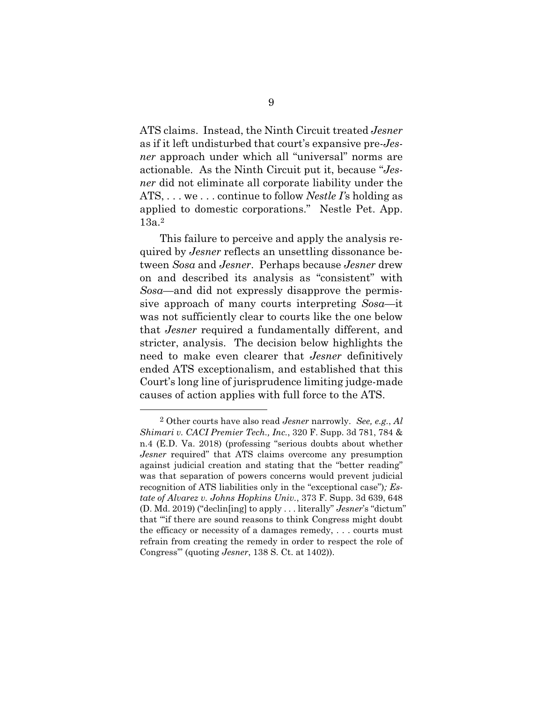ATS claims. Instead, the Ninth Circuit treated *Jesner* as if it left undisturbed that court's expansive pre-*Jesner* approach under which all "universal" norms are actionable. As the Ninth Circuit put it, because "*Jesner* did not eliminate all corporate liability under the ATS, . . . we . . . continue to follow *Nestle I'*s holding as applied to domestic corporations." Nestle Pet. App. 13a.2

This failure to perceive and apply the analysis required by *Jesner* reflects an unsettling dissonance between *Sosa* and *Jesner*. Perhaps because *Jesner* drew on and described its analysis as "consistent" with *Sosa*—and did not expressly disapprove the permissive approach of many courts interpreting *Sosa*—it was not sufficiently clear to courts like the one below that *Jesner* required a fundamentally different, and stricter, analysis. The decision below highlights the need to make even clearer that *Jesner* definitively ended ATS exceptionalism, and established that this Court's long line of jurisprudence limiting judge-made causes of action applies with full force to the ATS.

-

<sup>2</sup> Other courts have also read *Jesner* narrowly. *See, e.g.*, *Al Shimari v. CACI Premier Tech., Inc.*, 320 F. Supp. 3d 781, 784 & n.4 (E.D. Va. 2018) (professing "serious doubts about whether *Jesner* required" that ATS claims overcome any presumption against judicial creation and stating that the "better reading" was that separation of powers concerns would prevent judicial recognition of ATS liabilities only in the "exceptional case")*; Estate of Alvarez v. Johns Hopkins Univ.*, 373 F. Supp. 3d 639, 648 (D. Md. 2019) ("declin[ing] to apply . . . literally" *Jesner*'s "dictum" that "'if there are sound reasons to think Congress might doubt the efficacy or necessity of a damages remedy, . . . courts must refrain from creating the remedy in order to respect the role of Congress'" (quoting *Jesner*, 138 S. Ct. at 1402)).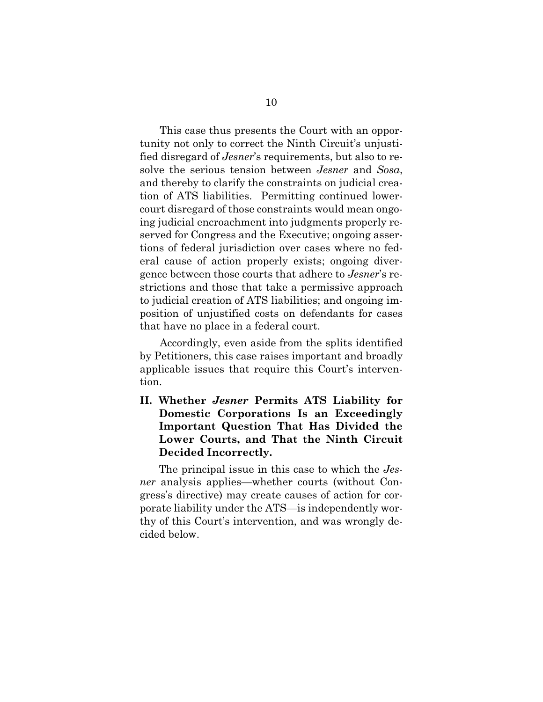This case thus presents the Court with an opportunity not only to correct the Ninth Circuit's unjustified disregard of *Jesner*'s requirements, but also to resolve the serious tension between *Jesner* and *Sosa*, and thereby to clarify the constraints on judicial creation of ATS liabilities. Permitting continued lowercourt disregard of those constraints would mean ongoing judicial encroachment into judgments properly reserved for Congress and the Executive; ongoing assertions of federal jurisdiction over cases where no federal cause of action properly exists; ongoing divergence between those courts that adhere to *Jesner*'s restrictions and those that take a permissive approach to judicial creation of ATS liabilities; and ongoing imposition of unjustified costs on defendants for cases that have no place in a federal court.

Accordingly, even aside from the splits identified by Petitioners, this case raises important and broadly applicable issues that require this Court's intervention.

**II. Whether** *Jesner* **Permits ATS Liability for Domestic Corporations Is an Exceedingly Important Question That Has Divided the Lower Courts, and That the Ninth Circuit Decided Incorrectly.** 

The principal issue in this case to which the *Jesner* analysis applies—whether courts (without Congress's directive) may create causes of action for corporate liability under the ATS—is independently worthy of this Court's intervention, and was wrongly decided below.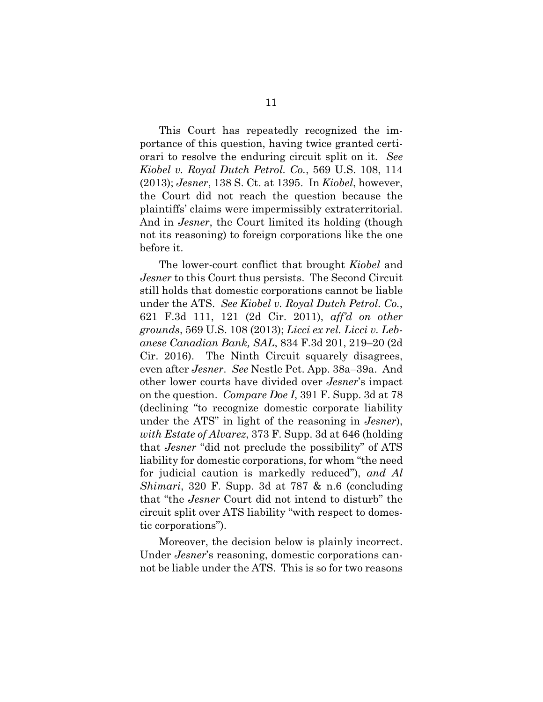This Court has repeatedly recognized the importance of this question, having twice granted certiorari to resolve the enduring circuit split on it. *See Kiobel v. Royal Dutch Petrol. Co.*, 569 U.S. 108, 114 (2013); *Jesner*, 138 S. Ct. at 1395. In *Kiobel*, however, the Court did not reach the question because the plaintiffs' claims were impermissibly extraterritorial. And in *Jesner*, the Court limited its holding (though not its reasoning) to foreign corporations like the one before it.

The lower-court conflict that brought *Kiobel* and *Jesner* to this Court thus persists. The Second Circuit still holds that domestic corporations cannot be liable under the ATS. *See Kiobel v. Royal Dutch Petrol. Co.*, 621 F.3d 111, 121 (2d Cir. 2011), *aff'd on other grounds*, 569 U.S. 108 (2013); *Licci ex rel. Licci v. Lebanese Canadian Bank, SAL*, 834 F.3d 201, 219–20 (2d Cir. 2016). The Ninth Circuit squarely disagrees, even after *Jesner*. *See* Nestle Pet. App. 38a–39a. And other lower courts have divided over *Jesner*'s impact on the question. *Compare Doe I*, 391 F. Supp. 3d at 78 (declining "to recognize domestic corporate liability under the ATS" in light of the reasoning in *Jesner*), *with Estate of Alvarez*, 373 F. Supp. 3d at 646 (holding that *Jesner* "did not preclude the possibility" of ATS liability for domestic corporations, for whom "the need for judicial caution is markedly reduced"), *and Al Shimari*, 320 F. Supp. 3d at 787 & n.6 (concluding that "the *Jesner* Court did not intend to disturb" the circuit split over ATS liability "with respect to domestic corporations").

Moreover, the decision below is plainly incorrect. Under *Jesner*'s reasoning, domestic corporations cannot be liable under the ATS. This is so for two reasons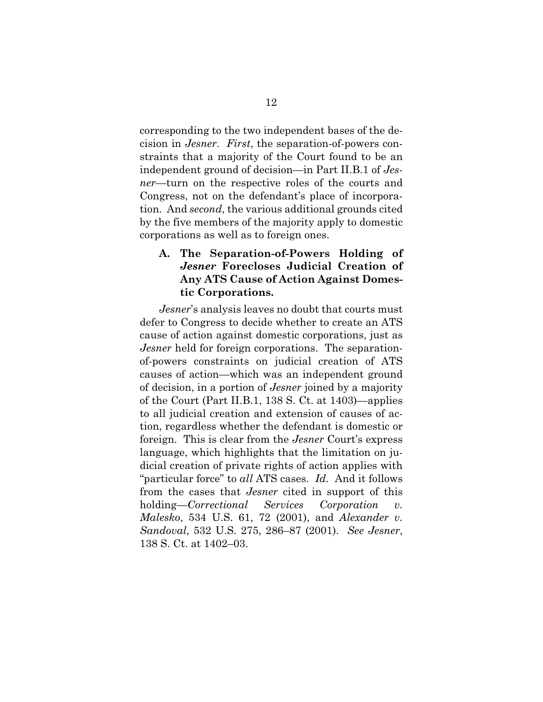corresponding to the two independent bases of the decision in *Jesner*. *First*, the separation-of-powers constraints that a majority of the Court found to be an independent ground of decision—in Part II.B.1 of *Jesner*—turn on the respective roles of the courts and Congress, not on the defendant's place of incorporation. And *second*, the various additional grounds cited by the five members of the majority apply to domestic corporations as well as to foreign ones.

### **A. The Separation-of-Powers Holding of**  *Jesner* **Forecloses Judicial Creation of Any ATS Cause of Action Against Domestic Corporations.**

*Jesner*'s analysis leaves no doubt that courts must defer to Congress to decide whether to create an ATS cause of action against domestic corporations, just as *Jesner* held for foreign corporations. The separationof-powers constraints on judicial creation of ATS causes of action—which was an independent ground of decision, in a portion of *Jesner* joined by a majority of the Court (Part II.B.1, 138 S. Ct. at 1403)—applies to all judicial creation and extension of causes of action, regardless whether the defendant is domestic or foreign. This is clear from the *Jesner* Court's express language, which highlights that the limitation on judicial creation of private rights of action applies with "particular force" to *all* ATS cases. *Id.* And it follows from the cases that *Jesner* cited in support of this holding—*Correctional Services Corporation v. Malesko*, 534 U.S. 61, 72 (2001), and *Alexander v. Sandoval*, 532 U.S. 275, 286–87 (2001). *See Jesner*, 138 S. Ct. at 1402–03.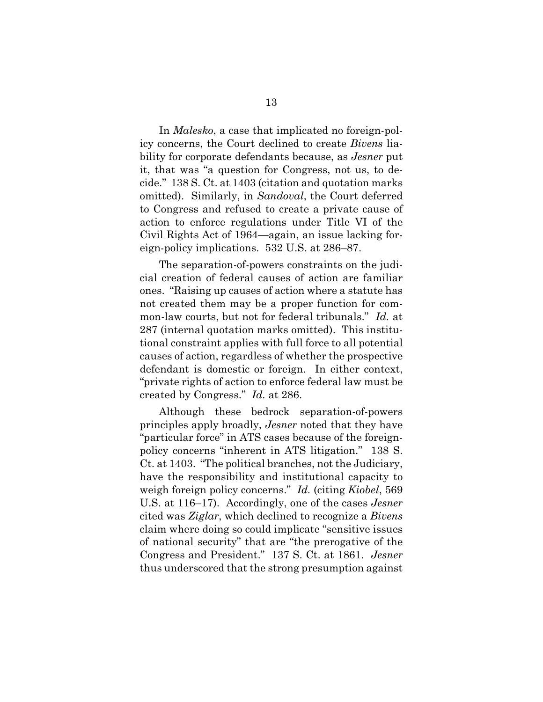In *Malesko*, a case that implicated no foreign-policy concerns, the Court declined to create *Bivens* liability for corporate defendants because, as *Jesner* put it, that was "a question for Congress, not us, to decide." 138 S. Ct. at 1403 (citation and quotation marks omitted). Similarly, in *Sandoval*, the Court deferred to Congress and refused to create a private cause of action to enforce regulations under Title VI of the Civil Rights Act of 1964—again, an issue lacking foreign-policy implications. 532 U.S. at 286–87.

The separation-of-powers constraints on the judicial creation of federal causes of action are familiar ones. "Raising up causes of action where a statute has not created them may be a proper function for common-law courts, but not for federal tribunals." *Id.* at 287 (internal quotation marks omitted). This institutional constraint applies with full force to all potential causes of action, regardless of whether the prospective defendant is domestic or foreign. In either context, "private rights of action to enforce federal law must be created by Congress." *Id.* at 286.

Although these bedrock separation-of-powers principles apply broadly, *Jesner* noted that they have "particular force" in ATS cases because of the foreignpolicy concerns "inherent in ATS litigation." 138 S. Ct. at 1403. "The political branches, not the Judiciary, have the responsibility and institutional capacity to weigh foreign policy concerns." *Id.* (citing *Kiobel*, 569 U.S. at 116–17). Accordingly, one of the cases *Jesner*  cited was *Ziglar*, which declined to recognize a *Bivens* claim where doing so could implicate "sensitive issues of national security" that are "the prerogative of the Congress and President." 137 S. Ct. at 1861. *Jesner* thus underscored that the strong presumption against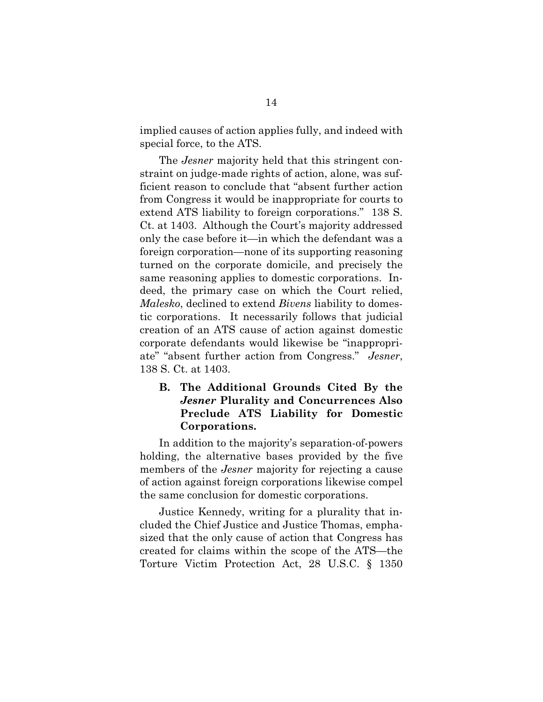implied causes of action applies fully, and indeed with special force, to the ATS.

The *Jesner* majority held that this stringent constraint on judge-made rights of action, alone, was sufficient reason to conclude that "absent further action from Congress it would be inappropriate for courts to extend ATS liability to foreign corporations." 138 S. Ct. at 1403. Although the Court's majority addressed only the case before it—in which the defendant was a foreign corporation—none of its supporting reasoning turned on the corporate domicile, and precisely the same reasoning applies to domestic corporations. Indeed, the primary case on which the Court relied, *Malesko*, declined to extend *Bivens* liability to domestic corporations.It necessarily follows that judicial creation of an ATS cause of action against domestic corporate defendants would likewise be "inappropriate" "absent further action from Congress." *Jesner*, 138 S. Ct. at 1403.

### **B. The Additional Grounds Cited By the**  *Jesner* **Plurality and Concurrences Also Preclude ATS Liability for Domestic Corporations.**

In addition to the majority's separation-of-powers holding, the alternative bases provided by the five members of the *Jesner* majority for rejecting a cause of action against foreign corporations likewise compel the same conclusion for domestic corporations.

Justice Kennedy, writing for a plurality that included the Chief Justice and Justice Thomas, emphasized that the only cause of action that Congress has created for claims within the scope of the ATS—the Torture Victim Protection Act, 28 U.S.C. § 1350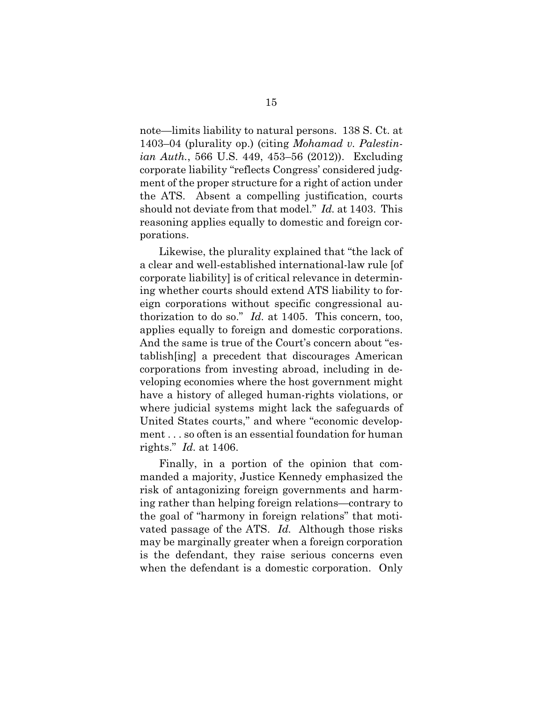note—limits liability to natural persons. 138 S. Ct. at 1403–04 (plurality op.) (citing *Mohamad v. Palestinian Auth.*, 566 U.S. 449, 453–56 (2012)). Excluding corporate liability "reflects Congress' considered judgment of the proper structure for a right of action under the ATS. Absent a compelling justification, courts should not deviate from that model." *Id.* at 1403. This reasoning applies equally to domestic and foreign corporations.

Likewise, the plurality explained that "the lack of a clear and well-established international-law rule [of corporate liability] is of critical relevance in determining whether courts should extend ATS liability to foreign corporations without specific congressional authorization to do so." *Id.* at 1405. This concern, too, applies equally to foreign and domestic corporations. And the same is true of the Court's concern about "establish[ing] a precedent that discourages American corporations from investing abroad, including in developing economies where the host government might have a history of alleged human-rights violations, or where judicial systems might lack the safeguards of United States courts," and where "economic development . . . so often is an essential foundation for human rights." *Id.* at 1406.

Finally, in a portion of the opinion that commanded a majority, Justice Kennedy emphasized the risk of antagonizing foreign governments and harming rather than helping foreign relations—contrary to the goal of "harmony in foreign relations" that motivated passage of the ATS. *Id.* Although those risks may be marginally greater when a foreign corporation is the defendant, they raise serious concerns even when the defendant is a domestic corporation. Only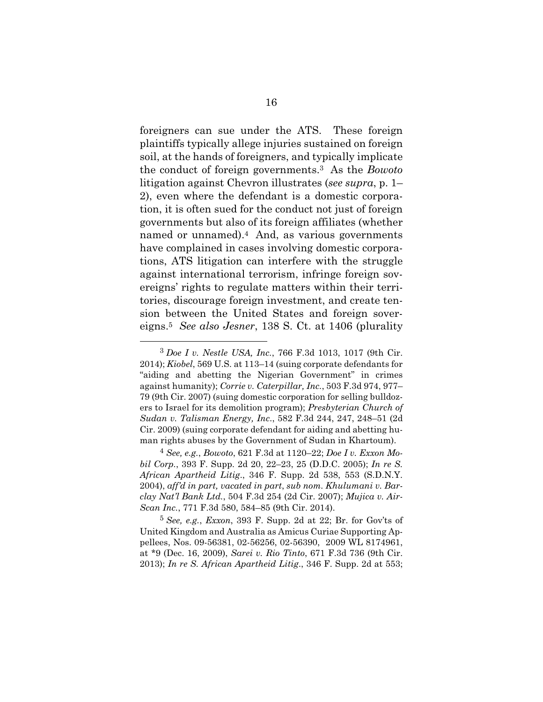foreigners can sue under the ATS. These foreign plaintiffs typically allege injuries sustained on foreign soil, at the hands of foreigners, and typically implicate the conduct of foreign governments.3 As the *Bowoto* litigation against Chevron illustrates (*see supra*, p. 1– 2), even where the defendant is a domestic corporation, it is often sued for the conduct not just of foreign governments but also of its foreign affiliates (whether named or unnamed).4 And, as various governments have complained in cases involving domestic corporations, ATS litigation can interfere with the struggle against international terrorism, infringe foreign sovereigns' rights to regulate matters within their territories, discourage foreign investment, and create tension between the United States and foreign sovereigns.5 *See also Jesner*, 138 S. Ct. at 1406 (plurality

-

<sup>3</sup> *Doe I v. Nestle USA, Inc.*, 766 F.3d 1013, 1017 (9th Cir. 2014); *Kiobel*, 569 U.S. at 113–14 (suing corporate defendants for "aiding and abetting the Nigerian Government" in crimes against humanity); *Corrie v. Caterpillar, Inc.*, 503 F.3d 974, 977– 79 (9th Cir. 2007) (suing domestic corporation for selling bulldozers to Israel for its demolition program); *Presbyterian Church of Sudan v. Talisman Energy, Inc*., 582 F.3d 244, 247, 248–51 (2d Cir. 2009) (suing corporate defendant for aiding and abetting human rights abuses by the Government of Sudan in Khartoum).

<sup>4</sup> *See, e.g.*, *Bowoto*, 621 F.3d at 1120–22; *Doe I v. Exxon Mobil Corp.*, 393 F. Supp. 2d 20, 22–23, 25 (D.D.C. 2005); *In re S. African Apartheid Litig*., 346 F. Supp. 2d 538, 553 (S.D.N.Y. 2004), *aff'd in part, vacated in part*, *sub nom. Khulumani v. Barclay Nat'l Bank Ltd.*, 504 F.3d 254 (2d Cir. 2007); *Mujica v. Air-Scan Inc.*, 771 F.3d 580, 584–85 (9th Cir. 2014).

<sup>5</sup> *See, e.g.*, *Exxon*, 393 F. Supp. 2d at 22; Br. for Gov'ts of United Kingdom and Australia as Amicus Curiae Supporting Appellees, Nos. 09-56381, 02-56256, 02-56390, 2009 WL 8174961, at \*9 (Dec. 16, 2009), *Sarei v. Rio Tinto*, 671 F.3d 736 (9th Cir. 2013); *In re S. African Apartheid Litig*., 346 F. Supp. 2d at 553;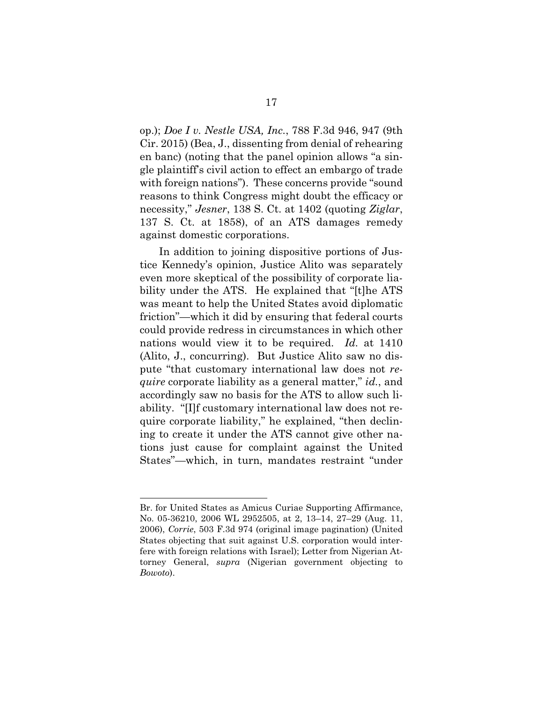op.); *Doe I v. Nestle USA, Inc.*, 788 F.3d 946, 947 (9th Cir. 2015) (Bea, J., dissenting from denial of rehearing en banc) (noting that the panel opinion allows "a single plaintiff's civil action to effect an embargo of trade with foreign nations"). These concerns provide "sound reasons to think Congress might doubt the efficacy or necessity," *Jesner*, 138 S. Ct. at 1402 (quoting *Ziglar*, 137 S. Ct. at 1858), of an ATS damages remedy against domestic corporations.

In addition to joining dispositive portions of Justice Kennedy's opinion, Justice Alito was separately even more skeptical of the possibility of corporate liability under the ATS. He explained that "[t]he ATS was meant to help the United States avoid diplomatic friction"—which it did by ensuring that federal courts could provide redress in circumstances in which other nations would view it to be required. *Id.* at 1410 (Alito, J., concurring). But Justice Alito saw no dispute "that customary international law does not *require* corporate liability as a general matter," *id.*, and accordingly saw no basis for the ATS to allow such liability. "[I]f customary international law does not require corporate liability," he explained, "then declining to create it under the ATS cannot give other nations just cause for complaint against the United States"—which, in turn, mandates restraint "under

j

Br. for United States as Amicus Curiae Supporting Affirmance, No. 05-36210, 2006 WL 2952505, at 2, 13–14, 27–29 (Aug. 11, 2006), *Corrie*, 503 F.3d 974 (original image pagination) (United States objecting that suit against U.S. corporation would interfere with foreign relations with Israel); Letter from Nigerian Attorney General, *supra* (Nigerian government objecting to *Bowoto*).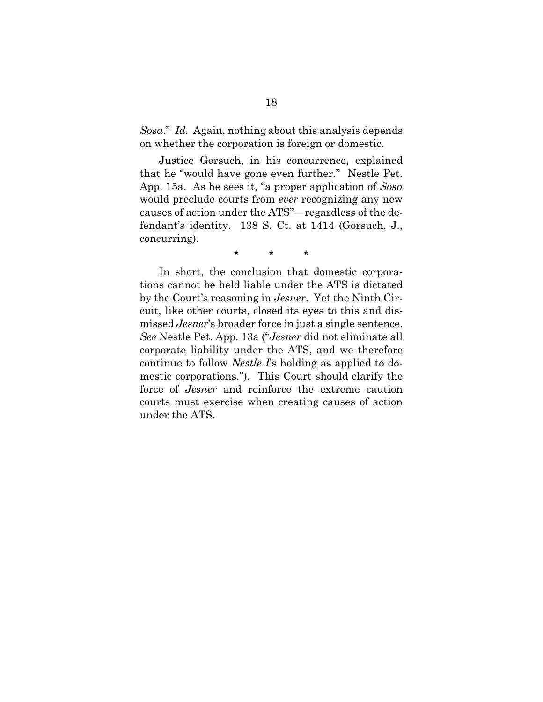*Sosa*." *Id.* Again, nothing about this analysis depends on whether the corporation is foreign or domestic.

Justice Gorsuch, in his concurrence, explained that he "would have gone even further." Nestle Pet. App. 15a. As he sees it, "a proper application of *Sosa* would preclude courts from *ever* recognizing any new causes of action under the ATS"—regardless of the defendant's identity. 138 S. Ct. at 1414 (Gorsuch, J., concurring).

\* \* \*

In short, the conclusion that domestic corporations cannot be held liable under the ATS is dictated by the Court's reasoning in *Jesner*. Yet the Ninth Circuit, like other courts, closed its eyes to this and dismissed *Jesner*'s broader force in just a single sentence. *See* Nestle Pet. App. 13a ("*Jesner* did not eliminate all corporate liability under the ATS, and we therefore continue to follow *Nestle I*'s holding as applied to domestic corporations."). This Court should clarify the force of *Jesner* and reinforce the extreme caution courts must exercise when creating causes of action under the ATS.